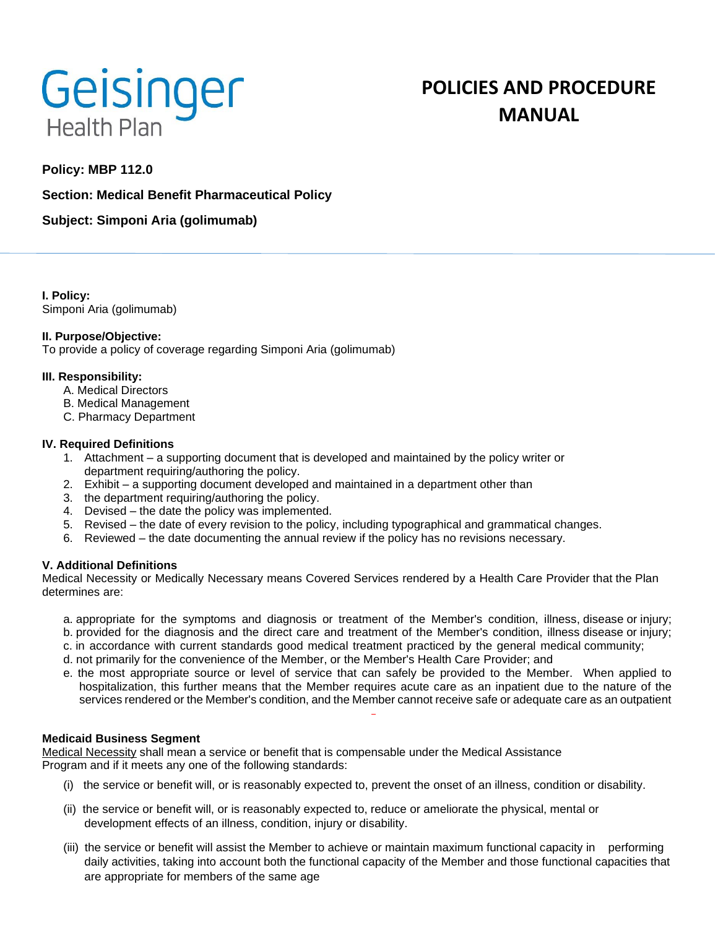

# **POLICIES AND PROCEDURE MANUAL**

# **Policy: MBP 112.0**

## **Section: Medical Benefit Pharmaceutical Policy**

**Subject: Simponi Aria (golimumab)**

**I. Policy:** Simponi Aria (golimumab)

### **II. Purpose/Objective:**

To provide a policy of coverage regarding Simponi Aria (golimumab)

### **III. Responsibility:**

- A. Medical Directors
- B. Medical Management
- C. Pharmacy Department

### **IV. Required Definitions**

- 1. Attachment a supporting document that is developed and maintained by the policy writer or department requiring/authoring the policy.
- 2. Exhibit a supporting document developed and maintained in a department other than
- 3. the department requiring/authoring the policy.
- 4. Devised the date the policy was implemented.
- 5. Revised the date of every revision to the policy, including typographical and grammatical changes.
- 6. Reviewed the date documenting the annual review if the policy has no revisions necessary.

## **V. Additional Definitions**

Medical Necessity or Medically Necessary means Covered Services rendered by a Health Care Provider that the Plan determines are:

- a. appropriate for the symptoms and diagnosis or treatment of the Member's condition, illness, disease or injury;
- b. provided for the diagnosis and the direct care and treatment of the Member's condition, illness disease or injury;
- c. in accordance with current standards good medical treatment practiced by the general medical community;
- d. not primarily for the convenience of the Member, or the Member's Health Care Provider; and
- e. the most appropriate source or level of service that can safely be provided to the Member. When applied to hospitalization, this further means that the Member requires acute care as an inpatient due to the nature of the services rendered or the Member's condition, and the Member cannot receive safe or adequate care as an outpatient

## **Medicaid Business Segment**

Medical Necessity shall mean a service or benefit that is compensable under the Medical Assistance Program and if it meets any one of the following standards:

- (i) the service or benefit will, or is reasonably expected to, prevent the onset of an illness, condition or disability.
- (ii) the service or benefit will, or is reasonably expected to, reduce or ameliorate the physical, mental or development effects of an illness, condition, injury or disability.
- (iii) the service or benefit will assist the Member to achieve or maintain maximum functional capacity in performing daily activities, taking into account both the functional capacity of the Member and those functional capacities that are appropriate for members of the same age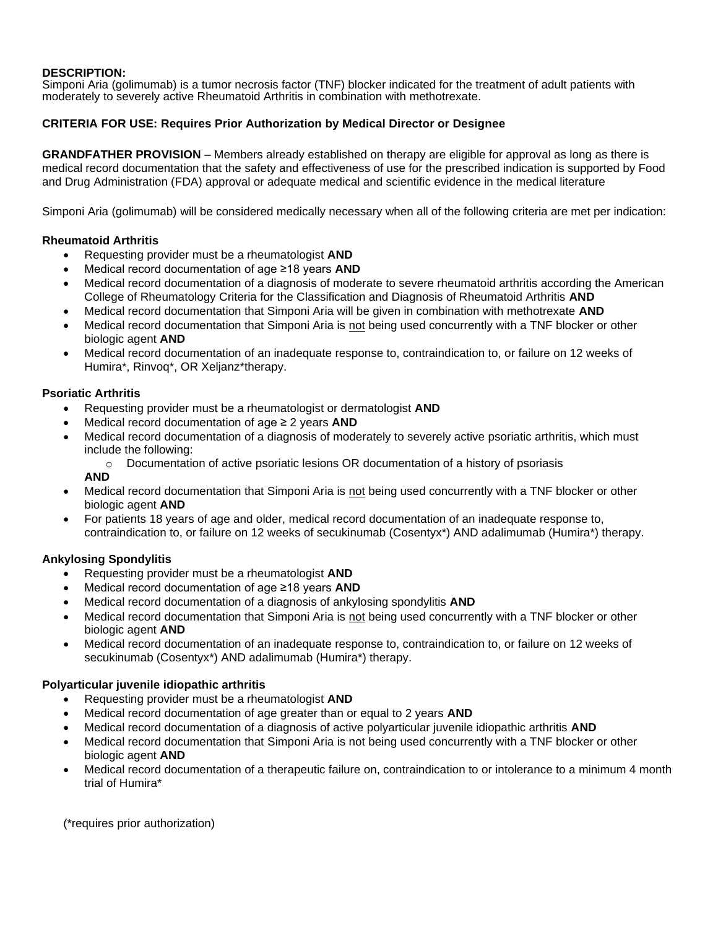## **DESCRIPTION:**

Simponi Aria (golimumab) is a tumor necrosis factor (TNF) blocker indicated for the treatment of adult patients with moderately to severely active Rheumatoid Arthritis in combination with methotrexate.

## **CRITERIA FOR USE: Requires Prior Authorization by Medical Director or Designee**

**GRANDFATHER PROVISION** – Members already established on therapy are eligible for approval as long as there is medical record documentation that the safety and effectiveness of use for the prescribed indication is supported by Food and Drug Administration (FDA) approval or adequate medical and scientific evidence in the medical literature

Simponi Aria (golimumab) will be considered medically necessary when all of the following criteria are met per indication:

#### **Rheumatoid Arthritis**

- Requesting provider must be a rheumatologist **AND**
- Medical record documentation of age ≥18 years **AND**
- Medical record documentation of a diagnosis of moderate to severe rheumatoid arthritis according the American College of Rheumatology Criteria for the Classification and Diagnosis of Rheumatoid Arthritis **AND**
- Medical record documentation that Simponi Aria will be given in combination with methotrexate **AND**
- Medical record documentation that Simponi Aria is not being used concurrently with a TNF blocker or other biologic agent **AND**
- Medical record documentation of an inadequate response to, contraindication to, or failure on 12 weeks of Humira\*, Rinvoq\*, OR Xeljanz\*therapy.

### **Psoriatic Arthritis**

- Requesting provider must be a rheumatologist or dermatologist **AND**
- Medical record documentation of age ≥ 2 years **AND**
- Medical record documentation of a diagnosis of moderately to severely active psoriatic arthritis, which must include the following:
	- $\circ$  Documentation of active psoriatic lesions OR documentation of a history of psoriasis

**AND**

- Medical record documentation that Simponi Aria is not being used concurrently with a TNF blocker or other biologic agent **AND**
- For patients 18 years of age and older, medical record documentation of an inadequate response to, contraindication to, or failure on 12 weeks of secukinumab (Cosentyx\*) AND adalimumab (Humira\*) therapy.

#### **Ankylosing Spondylitis**

- Requesting provider must be a rheumatologist **AND**
- Medical record documentation of age ≥18 years **AND**
- Medical record documentation of a diagnosis of ankylosing spondylitis **AND**
- Medical record documentation that Simponi Aria is not being used concurrently with a TNF blocker or other biologic agent **AND**
- Medical record documentation of an inadequate response to, contraindication to, or failure on 12 weeks of secukinumab (Cosentyx\*) AND adalimumab (Humira\*) therapy.

#### **Polyarticular juvenile idiopathic arthritis**

- Requesting provider must be a rheumatologist **AND**
- Medical record documentation of age greater than or equal to 2 years **AND**
- Medical record documentation of a diagnosis of active polyarticular juvenile idiopathic arthritis **AND**
- Medical record documentation that Simponi Aria is not being used concurrently with a TNF blocker or other biologic agent **AND**
- Medical record documentation of a therapeutic failure on, contraindication to or intolerance to a minimum 4 month trial of Humira\*

(\*requires prior authorization)